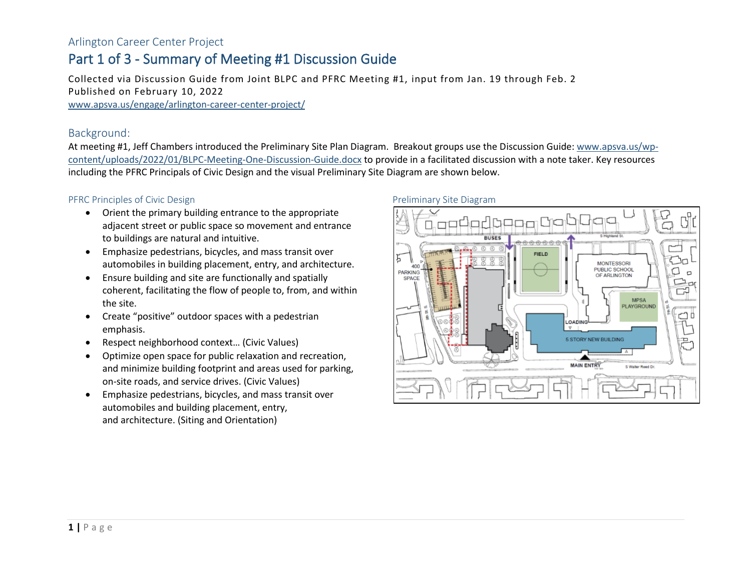#### Arlington Career Center Project

### Part 1 of 3 - Summary of Meeting #1 Discussion Guide

Collected via Discussion Guide from Joint BLPC and PFRC Meeting #1, input from Jan. 19 through Feb. 2 Published on February 10, 2022 [www.apsva.us/engage/arlington-career-center-project/](http://www.apsva.us/engage/arlington-career-center-project/)

#### Background:

At meeting #1, Jeff Chambers introduced the Preliminary Site Plan Diagram. Breakout groups use the Discussion Guide: [www.apsva.us/wp](http://www.apsva.us/wp-content/uploads/2022/01/BLPC-Meeting-One-Discussion-Guide.docx)[content/uploads/2022/01/BLPC-Meeting-One-Discussion-Guide.docx](http://www.apsva.us/wp-content/uploads/2022/01/BLPC-Meeting-One-Discussion-Guide.docx) to provide in a facilitated discussion with a note taker. Key resources including the PFRC Principals of Civic Design and the visual Preliminary Site Diagram are shown below.

#### PFRC Principles of Civic Design

- Orient the primary building entrance to the appropriate adjacent street or public space so movement and entrance to buildings are natural and intuitive.
- Emphasize pedestrians, bicycles, and mass transit over automobiles in building placement, entry, and architecture.
- Ensure building and site are functionally and spatially coherent, facilitating the flow of people to, from, and within the site.
- Create "positive" outdoor spaces with a pedestrian emphasis.
- Respect neighborhood context… (Civic Values)
- Optimize open space for public relaxation and recreation, and minimize building footprint and areas used for parking, on-site roads, and service drives. (Civic Values)
- Emphasize pedestrians, bicycles, and mass transit over automobiles and building placement, entry, and architecture. (Siting and Orientation)

#### Preliminary Site Diagram

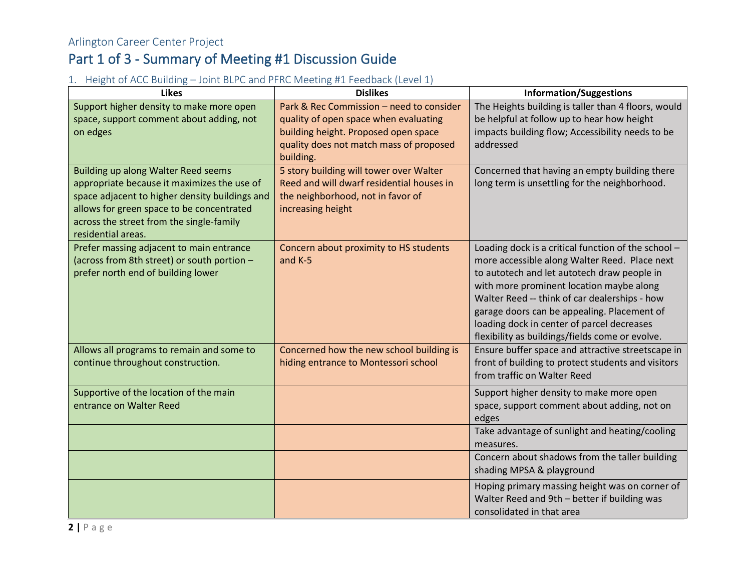#### 1. Height of ACC Building – Joint BLPC and PFRC Meeting #1 Feedback (Level 1)

| <b>Likes</b>                                                                                                                                                                                                                                        | <b>Dislikes</b>                                                                                                                                                      | <b>Information/Suggestions</b>                                                                                                                                                                                                                                                                                                                                                                   |  |
|-----------------------------------------------------------------------------------------------------------------------------------------------------------------------------------------------------------------------------------------------------|----------------------------------------------------------------------------------------------------------------------------------------------------------------------|--------------------------------------------------------------------------------------------------------------------------------------------------------------------------------------------------------------------------------------------------------------------------------------------------------------------------------------------------------------------------------------------------|--|
| Support higher density to make more open<br>space, support comment about adding, not<br>on edges                                                                                                                                                    | Park & Rec Commission - need to consider<br>quality of open space when evaluating<br>building height. Proposed open space<br>quality does not match mass of proposed | The Heights building is taller than 4 floors, would<br>be helpful at follow up to hear how height<br>impacts building flow; Accessibility needs to be<br>addressed                                                                                                                                                                                                                               |  |
| Building up along Walter Reed seems<br>appropriate because it maximizes the use of<br>space adjacent to higher density buildings and<br>allows for green space to be concentrated<br>across the street from the single-family<br>residential areas. | building.<br>5 story building will tower over Walter<br>Reed and will dwarf residential houses in<br>the neighborhood, not in favor of<br>increasing height          | Concerned that having an empty building there<br>long term is unsettling for the neighborhood.                                                                                                                                                                                                                                                                                                   |  |
| Prefer massing adjacent to main entrance<br>(across from 8th street) or south portion -<br>prefer north end of building lower                                                                                                                       | Concern about proximity to HS students<br>and K-5                                                                                                                    | Loading dock is a critical function of the school -<br>more accessible along Walter Reed. Place next<br>to autotech and let autotech draw people in<br>with more prominent location maybe along<br>Walter Reed -- think of car dealerships - how<br>garage doors can be appealing. Placement of<br>loading dock in center of parcel decreases<br>flexibility as buildings/fields come or evolve. |  |
| Allows all programs to remain and some to<br>continue throughout construction.                                                                                                                                                                      | Concerned how the new school building is<br>hiding entrance to Montessori school                                                                                     | Ensure buffer space and attractive streetscape in<br>front of building to protect students and visitors<br>from traffic on Walter Reed<br>Support higher density to make more open<br>space, support comment about adding, not on<br>edges                                                                                                                                                       |  |
| Supportive of the location of the main<br>entrance on Walter Reed                                                                                                                                                                                   |                                                                                                                                                                      |                                                                                                                                                                                                                                                                                                                                                                                                  |  |
|                                                                                                                                                                                                                                                     |                                                                                                                                                                      | Take advantage of sunlight and heating/cooling<br>measures.                                                                                                                                                                                                                                                                                                                                      |  |
|                                                                                                                                                                                                                                                     |                                                                                                                                                                      | Concern about shadows from the taller building<br>shading MPSA & playground                                                                                                                                                                                                                                                                                                                      |  |
|                                                                                                                                                                                                                                                     |                                                                                                                                                                      | Hoping primary massing height was on corner of<br>Walter Reed and 9th - better if building was<br>consolidated in that area                                                                                                                                                                                                                                                                      |  |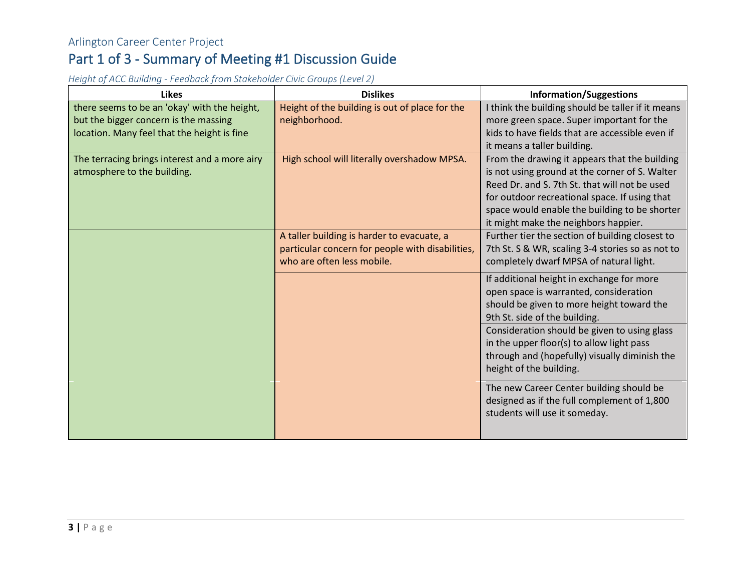*Height of ACC Building - Feedback from Stakeholder Civic Groups (Level 2)* 

| <b>Likes</b>                                  | <b>Dislikes</b>                                  | <b>Information/Suggestions</b>                    |  |
|-----------------------------------------------|--------------------------------------------------|---------------------------------------------------|--|
| there seems to be an 'okay' with the height,  | Height of the building is out of place for the   | I think the building should be taller if it means |  |
| but the bigger concern is the massing         | neighborhood.                                    | more green space. Super important for the         |  |
| location. Many feel that the height is fine   |                                                  | kids to have fields that are accessible even if   |  |
|                                               |                                                  | it means a taller building.                       |  |
| The terracing brings interest and a more airy | High school will literally overshadow MPSA.      | From the drawing it appears that the building     |  |
| atmosphere to the building.                   |                                                  | is not using ground at the corner of S. Walter    |  |
|                                               |                                                  | Reed Dr. and S. 7th St. that will not be used     |  |
|                                               |                                                  | for outdoor recreational space. If using that     |  |
|                                               |                                                  | space would enable the building to be shorter     |  |
|                                               |                                                  | it might make the neighbors happier.              |  |
|                                               | A taller building is harder to evacuate, a       | Further tier the section of building closest to   |  |
|                                               | particular concern for people with disabilities, | 7th St. S & WR, scaling 3-4 stories so as not to  |  |
|                                               | who are often less mobile.                       | completely dwarf MPSA of natural light.           |  |
|                                               |                                                  | If additional height in exchange for more         |  |
|                                               |                                                  | open space is warranted, consideration            |  |
|                                               |                                                  | should be given to more height toward the         |  |
|                                               |                                                  | 9th St. side of the building.                     |  |
|                                               |                                                  | Consideration should be given to using glass      |  |
|                                               |                                                  | in the upper floor(s) to allow light pass         |  |
|                                               |                                                  | through and (hopefully) visually diminish the     |  |
|                                               |                                                  | height of the building.                           |  |
|                                               |                                                  |                                                   |  |
|                                               |                                                  | The new Career Center building should be          |  |
|                                               |                                                  | designed as if the full complement of 1,800       |  |
|                                               |                                                  | students will use it someday.                     |  |
|                                               |                                                  |                                                   |  |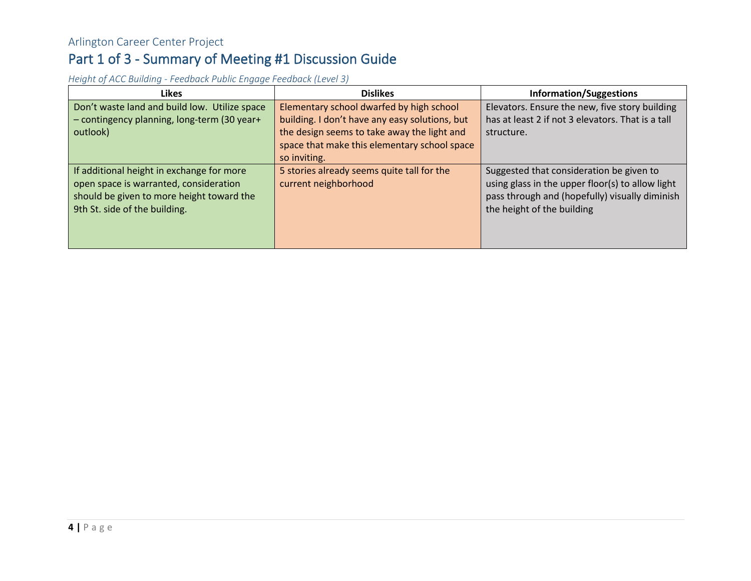*Height of ACC Building - Feedback Public Engage Feedback (Level 3)*

| <b>Likes</b>                                  | <b>Dislikes</b>                                | <b>Information/Suggestions</b>                    |
|-----------------------------------------------|------------------------------------------------|---------------------------------------------------|
| Don't waste land and build low. Utilize space | Elementary school dwarfed by high school       | Elevators. Ensure the new, five story building    |
| - contingency planning, long-term (30 year+   | building. I don't have any easy solutions, but | has at least 2 if not 3 elevators. That is a tall |
| outlook)                                      | the design seems to take away the light and    | structure.                                        |
|                                               | space that make this elementary school space   |                                                   |
|                                               | so inviting.                                   |                                                   |
| If additional height in exchange for more     | 5 stories already seems quite tall for the     | Suggested that consideration be given to          |
| open space is warranted, consideration        | current neighborhood                           | using glass in the upper floor(s) to allow light  |
| should be given to more height toward the     |                                                | pass through and (hopefully) visually diminish    |
| 9th St. side of the building.                 |                                                | the height of the building                        |
|                                               |                                                |                                                   |
|                                               |                                                |                                                   |
|                                               |                                                |                                                   |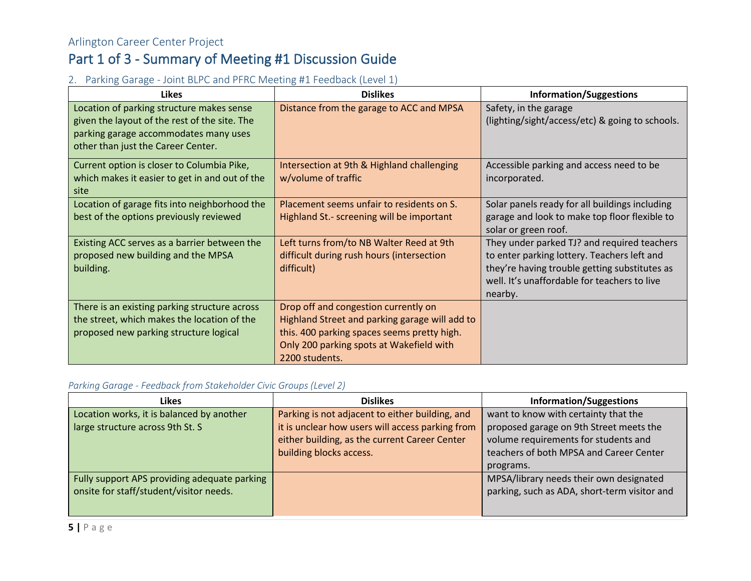#### 2. Parking Garage - Joint BLPC and PFRC Meeting #1 Feedback (Level 1)

| <b>Likes</b>                                                                                                                                                              | <b>Dislikes</b>                                                                                                                                                                                     | <b>Information/Suggestions</b>                                                                                                                                                                         |  |  |
|---------------------------------------------------------------------------------------------------------------------------------------------------------------------------|-----------------------------------------------------------------------------------------------------------------------------------------------------------------------------------------------------|--------------------------------------------------------------------------------------------------------------------------------------------------------------------------------------------------------|--|--|
| Location of parking structure makes sense<br>given the layout of the rest of the site. The<br>parking garage accommodates many uses<br>other than just the Career Center. | Distance from the garage to ACC and MPSA                                                                                                                                                            | Safety, in the garage<br>(lighting/sight/access/etc) & going to schools.                                                                                                                               |  |  |
| Current option is closer to Columbia Pike,<br>which makes it easier to get in and out of the<br>site                                                                      | Intersection at 9th & Highland challenging<br>w/volume of traffic                                                                                                                                   | Accessible parking and access need to be<br>incorporated.                                                                                                                                              |  |  |
| Location of garage fits into neighborhood the<br>best of the options previously reviewed                                                                                  | Placement seems unfair to residents on S.<br>Highland St.- screening will be important                                                                                                              | Solar panels ready for all buildings including<br>garage and look to make top floor flexible to<br>solar or green roof.                                                                                |  |  |
| Existing ACC serves as a barrier between the<br>proposed new building and the MPSA<br>building.                                                                           | Left turns from/to NB Walter Reed at 9th<br>difficult during rush hours (intersection<br>difficult)                                                                                                 | They under parked TJ? and required teachers<br>to enter parking lottery. Teachers left and<br>they're having trouble getting substitutes as<br>well. It's unaffordable for teachers to live<br>nearby. |  |  |
| There is an existing parking structure across<br>the street, which makes the location of the<br>proposed new parking structure logical                                    | Drop off and congestion currently on<br>Highland Street and parking garage will add to<br>this. 400 parking spaces seems pretty high.<br>Only 200 parking spots at Wakefield with<br>2200 students. |                                                                                                                                                                                                        |  |  |

#### *Parking Garage - Feedback from Stakeholder Civic Groups (Level 2)*

| <b>Likes</b>                                 | <b>Dislikes</b>                                  | <b>Information/Suggestions</b>                                                          |  |  |
|----------------------------------------------|--------------------------------------------------|-----------------------------------------------------------------------------------------|--|--|
| Location works, it is balanced by another    | Parking is not adjacent to either building, and  | want to know with certainty that the                                                    |  |  |
| large structure across 9th St. S             | it is unclear how users will access parking from | proposed garage on 9th Street meets the                                                 |  |  |
|                                              | either building, as the current Career Center    | volume requirements for students and                                                    |  |  |
|                                              | building blocks access.                          | teachers of both MPSA and Career Center                                                 |  |  |
|                                              |                                                  | programs.                                                                               |  |  |
| Fully support APS providing adequate parking |                                                  | MPSA/library needs their own designated<br>parking, such as ADA, short-term visitor and |  |  |
| onsite for staff/student/visitor needs.      |                                                  |                                                                                         |  |  |
|                                              |                                                  |                                                                                         |  |  |
|                                              |                                                  |                                                                                         |  |  |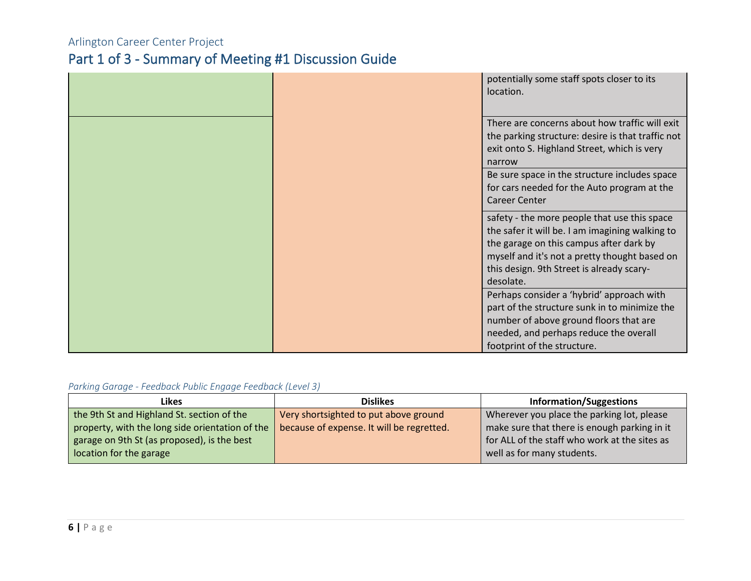|                      | potentially some staff spots closer to its<br>location. |
|----------------------|---------------------------------------------------------|
|                      |                                                         |
|                      | There are concerns about how traffic will exit          |
|                      | the parking structure: desire is that traffic not       |
|                      | exit onto S. Highland Street, which is very             |
|                      | narrow                                                  |
|                      | Be sure space in the structure includes space           |
|                      | for cars needed for the Auto program at the             |
| <b>Career Center</b> |                                                         |
|                      | safety - the more people that use this space            |
|                      | the safer it will be. I am imagining walking to         |
|                      | the garage on this campus after dark by                 |
|                      | myself and it's not a pretty thought based on           |
|                      | this design. 9th Street is already scary-               |
| desolate.            |                                                         |
|                      | Perhaps consider a 'hybrid' approach with               |
|                      | part of the structure sunk in to minimize the           |
|                      | number of above ground floors that are                  |
|                      | needed, and perhaps reduce the overall                  |
|                      | footprint of the structure.                             |

#### *Parking Garage - Feedback Public Engage Feedback (Level 3)*

| Likes                                           | <b>Dislikes</b>                           | <b>Information/Suggestions</b>                                              |  |  |
|-------------------------------------------------|-------------------------------------------|-----------------------------------------------------------------------------|--|--|
| the 9th St and Highland St. section of the      | Very shortsighted to put above ground     | Wherever you place the parking lot, please                                  |  |  |
| property, with the long side orientation of the | because of expense. It will be regretted. | make sure that there is enough parking in it                                |  |  |
| garage on 9th St (as proposed), is the best     |                                           | for ALL of the staff who work at the sites as<br>well as for many students. |  |  |
| location for the garage                         |                                           |                                                                             |  |  |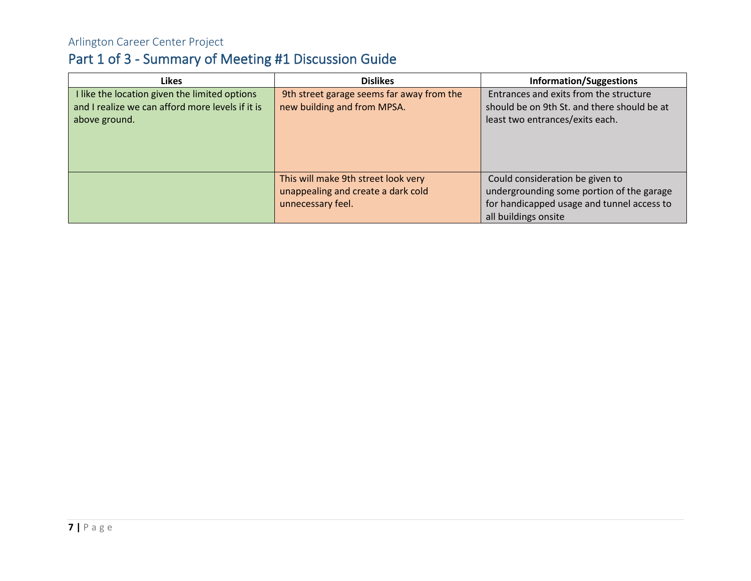| <b>Likes</b>                                     | <b>Dislikes</b>                           | <b>Information/Suggestions</b>              |
|--------------------------------------------------|-------------------------------------------|---------------------------------------------|
| I like the location given the limited options    | 9th street garage seems far away from the | Entrances and exits from the structure      |
| and I realize we can afford more levels if it is | new building and from MPSA.               | should be on 9th St. and there should be at |
| above ground.                                    |                                           | least two entrances/exits each.             |
|                                                  |                                           |                                             |
|                                                  |                                           |                                             |
|                                                  |                                           |                                             |
|                                                  | This will make 9th street look very       | Could consideration be given to             |
|                                                  | unappealing and create a dark cold        | undergrounding some portion of the garage   |
|                                                  |                                           |                                             |
|                                                  | unnecessary feel.                         | for handicapped usage and tunnel access to  |
|                                                  |                                           | all buildings onsite                        |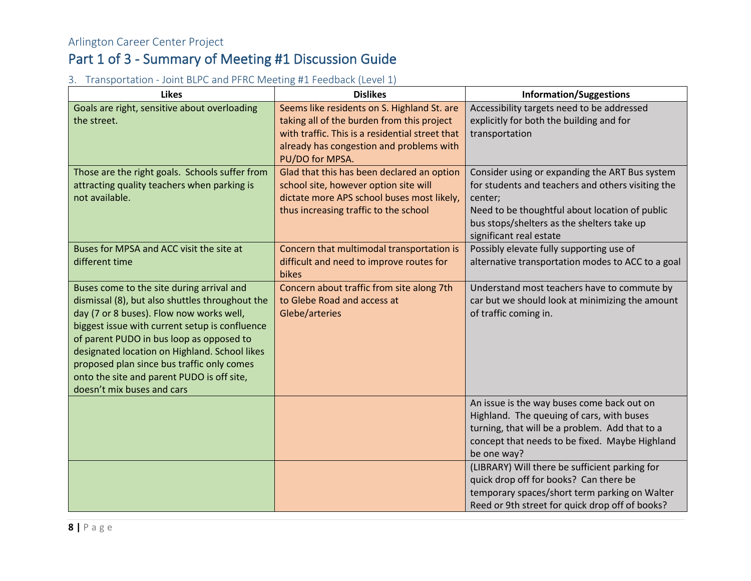#### 3. Transportation - Joint BLPC and PFRC Meeting #1 Feedback (Level 1)

| <b>Likes</b>                                                                                                                                                                                                                                                                                                                                                                                                      | <b>Dislikes</b>                                                                                                                                                                                             | <b>Information/Suggestions</b>                                                                                                                                                                                                            |  |
|-------------------------------------------------------------------------------------------------------------------------------------------------------------------------------------------------------------------------------------------------------------------------------------------------------------------------------------------------------------------------------------------------------------------|-------------------------------------------------------------------------------------------------------------------------------------------------------------------------------------------------------------|-------------------------------------------------------------------------------------------------------------------------------------------------------------------------------------------------------------------------------------------|--|
| Goals are right, sensitive about overloading<br>the street.                                                                                                                                                                                                                                                                                                                                                       | Seems like residents on S. Highland St. are<br>taking all of the burden from this project<br>with traffic. This is a residential street that<br>already has congestion and problems with<br>PU/DO for MPSA. | Accessibility targets need to be addressed<br>explicitly for both the building and for<br>transportation                                                                                                                                  |  |
| Those are the right goals. Schools suffer from<br>attracting quality teachers when parking is<br>not available.                                                                                                                                                                                                                                                                                                   | Glad that this has been declared an option<br>school site, however option site will<br>dictate more APS school buses most likely,<br>thus increasing traffic to the school                                  | Consider using or expanding the ART Bus system<br>for students and teachers and others visiting the<br>center;<br>Need to be thoughtful about location of public<br>bus stops/shelters as the shelters take up<br>significant real estate |  |
| Buses for MPSA and ACC visit the site at<br>different time                                                                                                                                                                                                                                                                                                                                                        | Concern that multimodal transportation is<br>difficult and need to improve routes for<br>bikes                                                                                                              | Possibly elevate fully supporting use of<br>alternative transportation modes to ACC to a goal                                                                                                                                             |  |
| Buses come to the site during arrival and<br>dismissal (8), but also shuttles throughout the<br>day (7 or 8 buses). Flow now works well,<br>biggest issue with current setup is confluence<br>of parent PUDO in bus loop as opposed to<br>designated location on Highland. School likes<br>proposed plan since bus traffic only comes<br>onto the site and parent PUDO is off site,<br>doesn't mix buses and cars | Concern about traffic from site along 7th<br>to Glebe Road and access at<br>Glebe/arteries                                                                                                                  | Understand most teachers have to commute by<br>car but we should look at minimizing the amount<br>of traffic coming in.                                                                                                                   |  |
|                                                                                                                                                                                                                                                                                                                                                                                                                   |                                                                                                                                                                                                             | An issue is the way buses come back out on<br>Highland. The queuing of cars, with buses<br>turning, that will be a problem. Add that to a<br>concept that needs to be fixed. Maybe Highland<br>be one way?                                |  |
|                                                                                                                                                                                                                                                                                                                                                                                                                   |                                                                                                                                                                                                             | (LIBRARY) Will there be sufficient parking for<br>quick drop off for books? Can there be<br>temporary spaces/short term parking on Walter<br>Reed or 9th street for quick drop off of books?                                              |  |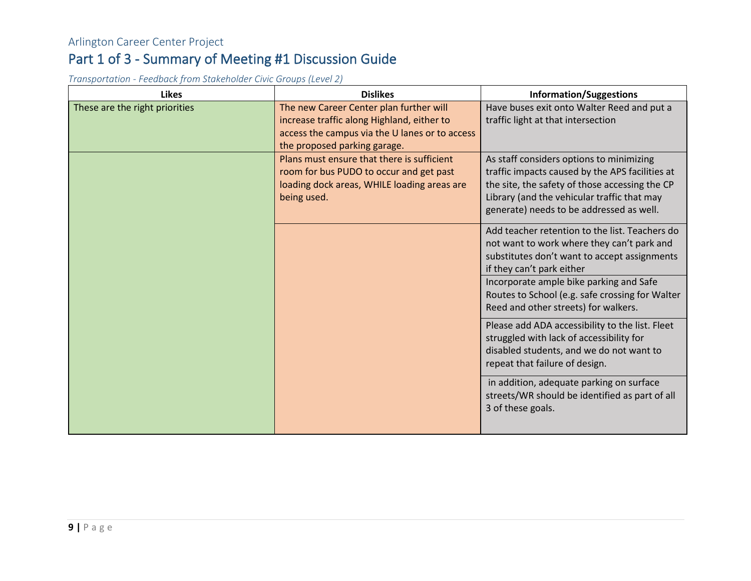*Transportation - Feedback from Stakeholder Civic Groups (Level 2)* 

| <b>Likes</b>                   | <b>Dislikes</b>                                                                                                                                                         | <b>Information/Suggestions</b>                                                                                                                                                                                                                                                                                  |  |
|--------------------------------|-------------------------------------------------------------------------------------------------------------------------------------------------------------------------|-----------------------------------------------------------------------------------------------------------------------------------------------------------------------------------------------------------------------------------------------------------------------------------------------------------------|--|
| These are the right priorities | The new Career Center plan further will<br>increase traffic along Highland, either to<br>access the campus via the U lanes or to access<br>the proposed parking garage. | Have buses exit onto Walter Reed and put a<br>traffic light at that intersection                                                                                                                                                                                                                                |  |
|                                | Plans must ensure that there is sufficient<br>room for bus PUDO to occur and get past<br>loading dock areas, WHILE loading areas are<br>being used.                     | As staff considers options to minimizing<br>traffic impacts caused by the APS facilities at<br>the site, the safety of those accessing the CP<br>Library (and the vehicular traffic that may<br>generate) needs to be addressed as well.                                                                        |  |
|                                |                                                                                                                                                                         | Add teacher retention to the list. Teachers do<br>not want to work where they can't park and<br>substitutes don't want to accept assignments<br>if they can't park either<br>Incorporate ample bike parking and Safe<br>Routes to School (e.g. safe crossing for Walter<br>Reed and other streets) for walkers. |  |
|                                |                                                                                                                                                                         | Please add ADA accessibility to the list. Fleet<br>struggled with lack of accessibility for<br>disabled students, and we do not want to<br>repeat that failure of design.                                                                                                                                       |  |
|                                |                                                                                                                                                                         | in addition, adequate parking on surface<br>streets/WR should be identified as part of all<br>3 of these goals.                                                                                                                                                                                                 |  |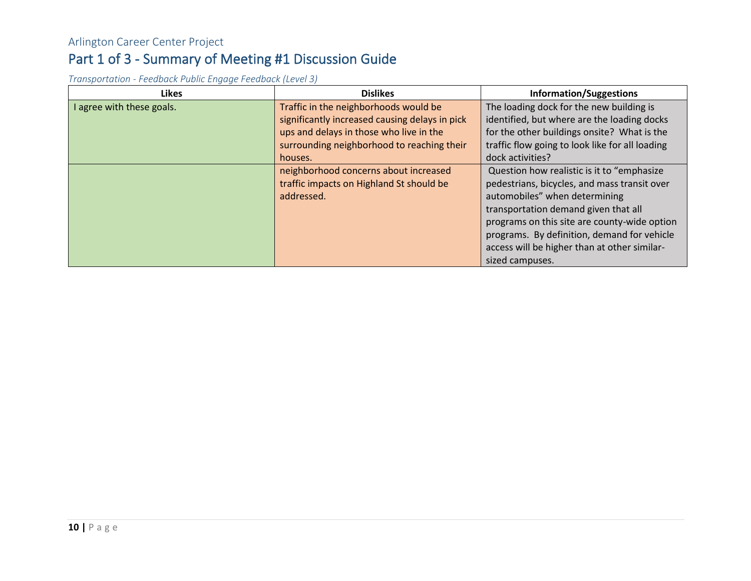*Transportation - Feedback Public Engage Feedback (Level 3)*

| <b>Likes</b>              | <b>Dislikes</b>                                | <b>Information/Suggestions</b>                  |  |  |
|---------------------------|------------------------------------------------|-------------------------------------------------|--|--|
| I agree with these goals. | Traffic in the neighborhoods would be          | The loading dock for the new building is        |  |  |
|                           | significantly increased causing delays in pick | identified, but where are the loading docks     |  |  |
|                           | ups and delays in those who live in the        | for the other buildings onsite? What is the     |  |  |
|                           | surrounding neighborhood to reaching their     | traffic flow going to look like for all loading |  |  |
|                           | houses.                                        | dock activities?                                |  |  |
|                           | neighborhood concerns about increased          | Question how realistic is it to "emphasize      |  |  |
|                           | traffic impacts on Highland St should be       | pedestrians, bicycles, and mass transit over    |  |  |
|                           | addressed.                                     | automobiles" when determining                   |  |  |
|                           |                                                | transportation demand given that all            |  |  |
|                           |                                                | programs on this site are county-wide option    |  |  |
|                           |                                                | programs. By definition, demand for vehicle     |  |  |
|                           |                                                | access will be higher than at other similar-    |  |  |
|                           |                                                | sized campuses.                                 |  |  |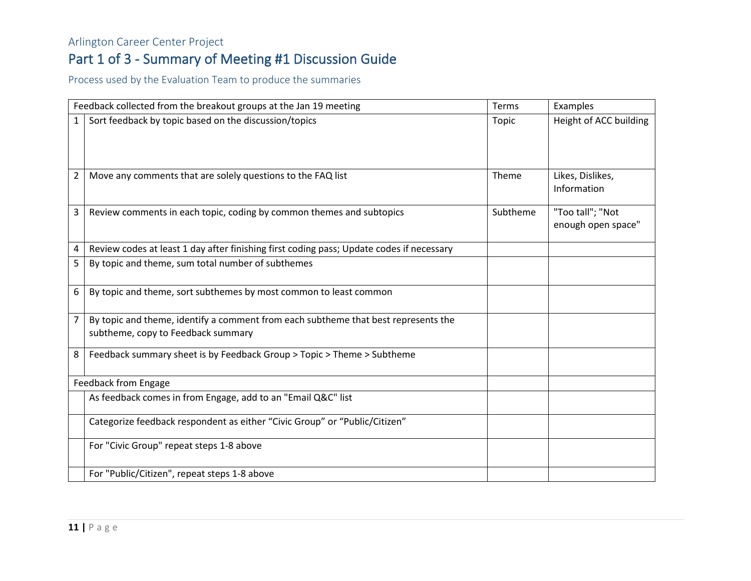#### Arlington Career Center Project

## Part 1 of 3 - Summary of Meeting #1 Discussion Guide

Process used by the Evaluation Team to produce the summaries

|                | Feedback collected from the breakout groups at the Jan 19 meeting                                                        |          | Examples                               |
|----------------|--------------------------------------------------------------------------------------------------------------------------|----------|----------------------------------------|
| 1              | Sort feedback by topic based on the discussion/topics                                                                    | Topic    | Height of ACC building                 |
| $\overline{2}$ | Move any comments that are solely questions to the FAQ list                                                              | Theme    | Likes, Dislikes,<br>Information        |
| 3              | Review comments in each topic, coding by common themes and subtopics                                                     | Subtheme | "Too tall"; "Not<br>enough open space" |
| 4              | Review codes at least 1 day after finishing first coding pass; Update codes if necessary                                 |          |                                        |
| 5              | By topic and theme, sum total number of subthemes                                                                        |          |                                        |
| 6              | By topic and theme, sort subthemes by most common to least common                                                        |          |                                        |
| 7              | By topic and theme, identify a comment from each subtheme that best represents the<br>subtheme, copy to Feedback summary |          |                                        |
| 8              | Feedback summary sheet is by Feedback Group > Topic > Theme > Subtheme                                                   |          |                                        |
|                | Feedback from Engage                                                                                                     |          |                                        |
|                | As feedback comes in from Engage, add to an "Email Q&C" list                                                             |          |                                        |
|                | Categorize feedback respondent as either "Civic Group" or "Public/Citizen"                                               |          |                                        |
|                | For "Civic Group" repeat steps 1-8 above                                                                                 |          |                                        |
|                | For "Public/Citizen", repeat steps 1-8 above                                                                             |          |                                        |